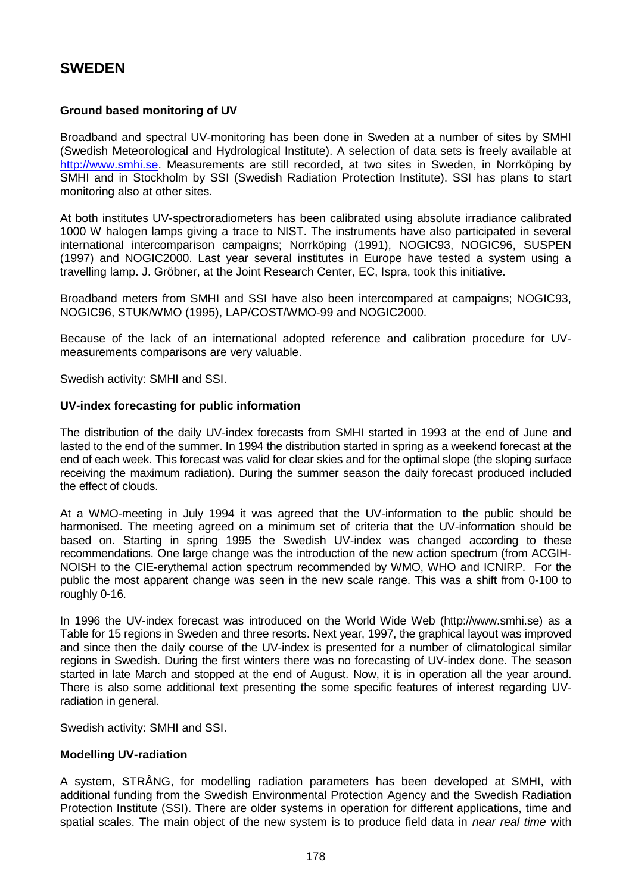# **SWEDEN**

## **Ground based monitoring of UV**

Broadband and spectral UV-monitoring has been done in Sweden at a number of sites by SMHI (Swedish Meteorological and Hydrological Institute). A selection of data sets is freely available at [http://www.smhi.se.](http://www.smhi.se/) Measurements are still recorded, at two sites in Sweden, in Norrköping by SMHI and in Stockholm by SSI (Swedish Radiation Protection Institute). SSI has plans to start monitoring also at other sites.

At both institutes UV-spectroradiometers has been calibrated using absolute irradiance calibrated 1000 W halogen lamps giving a trace to NIST. The instruments have also participated in several international intercomparison campaigns; Norrköping (1991), NOGIC93, NOGIC96, SUSPEN (1997) and NOGIC2000. Last year several institutes in Europe have tested a system using a travelling lamp. J. Gröbner, at the Joint Research Center, EC, Ispra, took this initiative.

Broadband meters from SMHI and SSI have also been intercompared at campaigns; NOGIC93, NOGIC96, STUK/WMO (1995), LAP/COST/WMO-99 and NOGIC2000.

Because of the lack of an international adopted reference and calibration procedure for UVmeasurements comparisons are very valuable.

Swedish activity: SMHI and SSI.

#### **UV-index forecasting for public information**

The distribution of the daily UV-index forecasts from SMHI started in 1993 at the end of June and lasted to the end of the summer. In 1994 the distribution started in spring as a weekend forecast at the end of each week. This forecast was valid for clear skies and for the optimal slope (the sloping surface receiving the maximum radiation). During the summer season the daily forecast produced included the effect of clouds.

At a WMO-meeting in July 1994 it was agreed that the UV-information to the public should be harmonised. The meeting agreed on a minimum set of criteria that the UV-information should be based on. Starting in spring 1995 the Swedish UV-index was changed according to these recommendations. One large change was the introduction of the new action spectrum (from ACGIH-NOISH to the CIE-erythemal action spectrum recommended by WMO, WHO and ICNIRP. For the public the most apparent change was seen in the new scale range. This was a shift from 0-100 to roughly 0-16.

In 1996 the UV-index forecast was introduced on the World Wide Web (http://www.smhi.se) as a Table for 15 regions in Sweden and three resorts. Next year, 1997, the graphical layout was improved and since then the daily course of the UV-index is presented for a number of climatological similar regions in Swedish. During the first winters there was no forecasting of UV-index done. The season started in late March and stopped at the end of August. Now, it is in operation all the year around. There is also some additional text presenting the some specific features of interest regarding UVradiation in general.

Swedish activity: SMHI and SSI.

### **Modelling UV-radiation**

A system, STRÅNG, for modelling radiation parameters has been developed at SMHI, with additional funding from the Swedish Environmental Protection Agency and the Swedish Radiation Protection Institute (SSI). There are older systems in operation for different applications, time and spatial scales. The main object of the new system is to produce field data in *near real time* with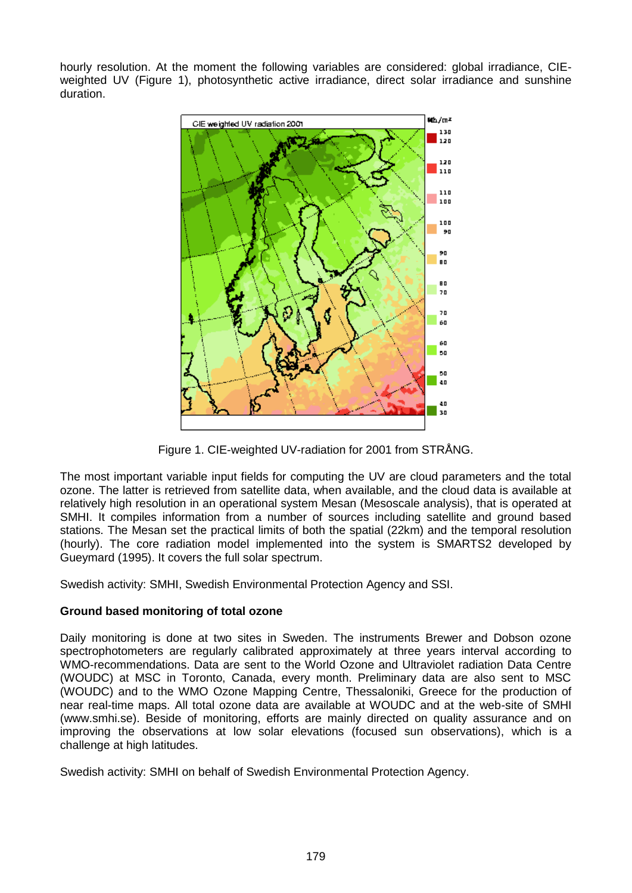hourly resolution. At the moment the following variables are considered: global irradiance, CIEweighted UV (Figure 1), photosynthetic active irradiance, direct solar irradiance and sunshine duration.



Figure 1. CIE-weighted UV-radiation for 2001 from STRÅNG.

The most important variable input fields for computing the UV are cloud parameters and the total ozone. The latter is retrieved from satellite data, when available, and the cloud data is available at relatively high resolution in an operational system Mesan (Mesoscale analysis), that is operated at SMHI. It compiles information from a number of sources including satellite and ground based stations. The Mesan set the practical limits of both the spatial (22km) and the temporal resolution (hourly). The core radiation model implemented into the system is SMARTS2 developed by Gueymard (1995). It covers the full solar spectrum.

Swedish activity: SMHI, Swedish Environmental Protection Agency and SSI.

## **Ground based monitoring of total ozone**

Daily monitoring is done at two sites in Sweden. The instruments Brewer and Dobson ozone spectrophotometers are regularly calibrated approximately at three years interval according to WMO-recommendations. Data are sent to the World Ozone and Ultraviolet radiation Data Centre (WOUDC) at MSC in Toronto, Canada, every month. Preliminary data are also sent to MSC (WOUDC) and to the WMO Ozone Mapping Centre, Thessaloniki, Greece for the production of near real-time maps. All total ozone data are available at WOUDC and at the web-site of SMHI (www.smhi.se). Beside of monitoring, efforts are mainly directed on quality assurance and on improving the observations at low solar elevations (focused sun observations), which is a challenge at high latitudes.

Swedish activity: SMHI on behalf of Swedish Environmental Protection Agency.